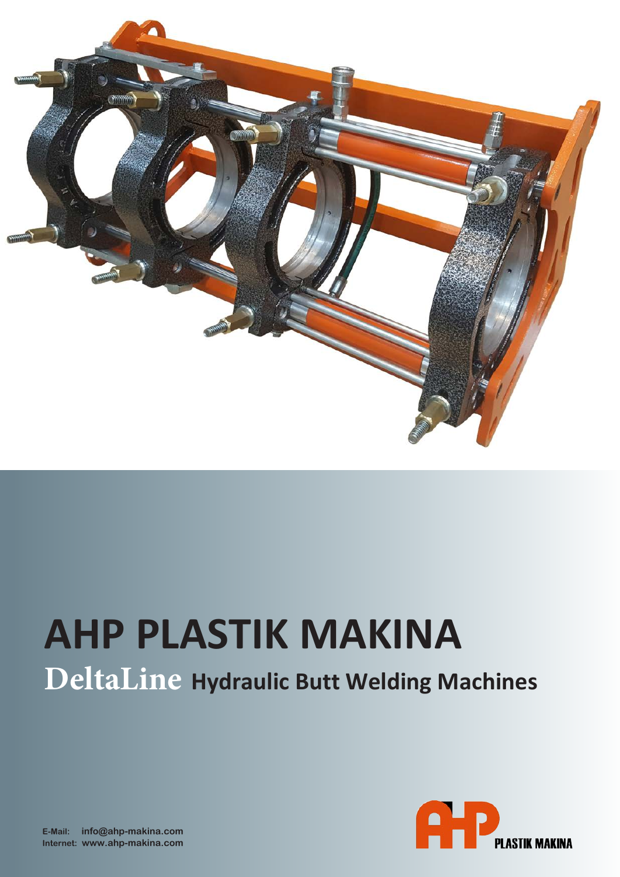

# **AHP PLASTIK MAKINA DeltaLine Hydraulic Butt Welding Machines**

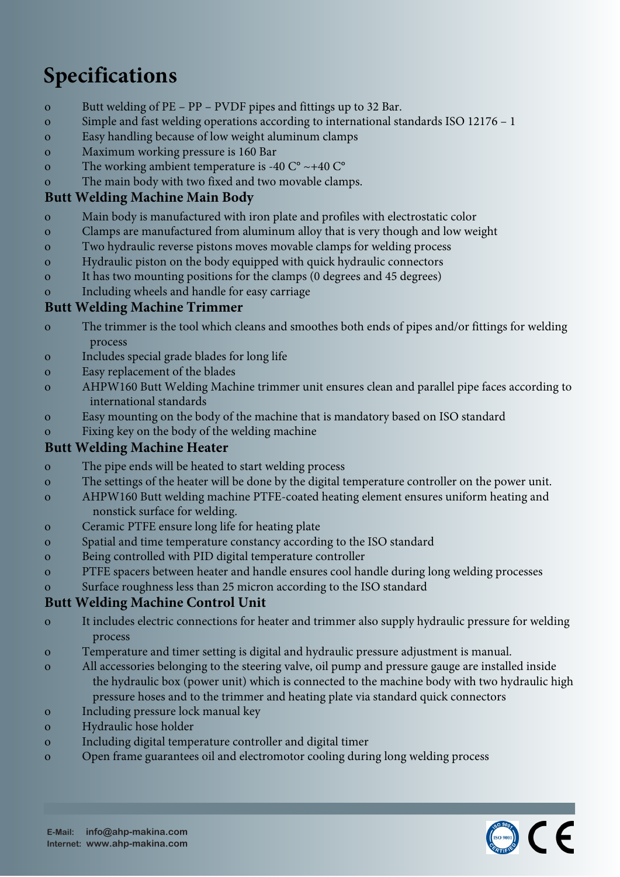# **Specifications**

- o Butt welding of PE PP PVDF pipes and fittings up to 32 Bar.
- o Simple and fast welding operations according to international standards ISO 12176 1
- o Easy handling because of low weight aluminum clamps
- o Maximum working pressure is 160 Bar
- o The working ambient temperature is -40 C° ~+40 C°
- o The main body with two fixed and two movable clamps.

# **Butt Welding Machine Main Body**

- o Main body is manufactured with iron plate and profiles with electrostatic color
- o Clamps are manufactured from aluminum alloy that is very though and low weight
- o Two hydraulic reverse pistons moves movable clamps for welding process
- o Hydraulic piston on the body equipped with quick hydraulic connectors
- o It has two mounting positions for the clamps (0 degrees and 45 degrees)
- o Including wheels and handle for easy carriage

# **Butt Welding Machine Trimmer**

- o The trimmer is the tool which cleans and smoothes both ends of pipes and/or fittings for welding process
- o Includes special grade blades for long life
- o Easy replacement of the blades
- o AHPW160 Butt Welding Machine trimmer unit ensures clean and parallel pipe faces according to international standards
- o Easy mounting on the body of the machine that is mandatory based on ISO standard
- o Fixing key on the body of the welding machine

# **Butt Welding Machine Heater**

- o The pipe ends will be heated to start welding process
- o The settings of the heater will be done by the digital temperature controller on the power unit.
- o AHPW160 Butt welding machine PTFE-coated heating element ensures uniform heating and nonstick surface for welding.
- o Ceramic PTFE ensure long life for heating plate
- o Spatial and time temperature constancy according to the ISO standard
- o Being controlled with PID digital temperature controller
- o PTFE spacers between heater and handle ensures cool handle during long welding processes
- o Surface roughness less than 25 micron according to the ISO standard

# **Butt Welding Machine Control Unit**

- o It includes electric connections for heater and trimmer also supply hydraulic pressure for welding process
- o Temperature and timer setting is digital and hydraulic pressure adjustment is manual.
- o All accessories belonging to the steering valve, oil pump and pressure gauge are installed inside the hydraulic box (power unit) which is connected to the machine body with two hydraulic high pressure hoses and to the trimmer and heating plate via standard quick connectors
- o Including pressure lock manual key
- o Hydraulic hose holder
- o Including digital temperature controller and digital timer
- o Open frame guarantees oil and electromotor cooling during long welding process

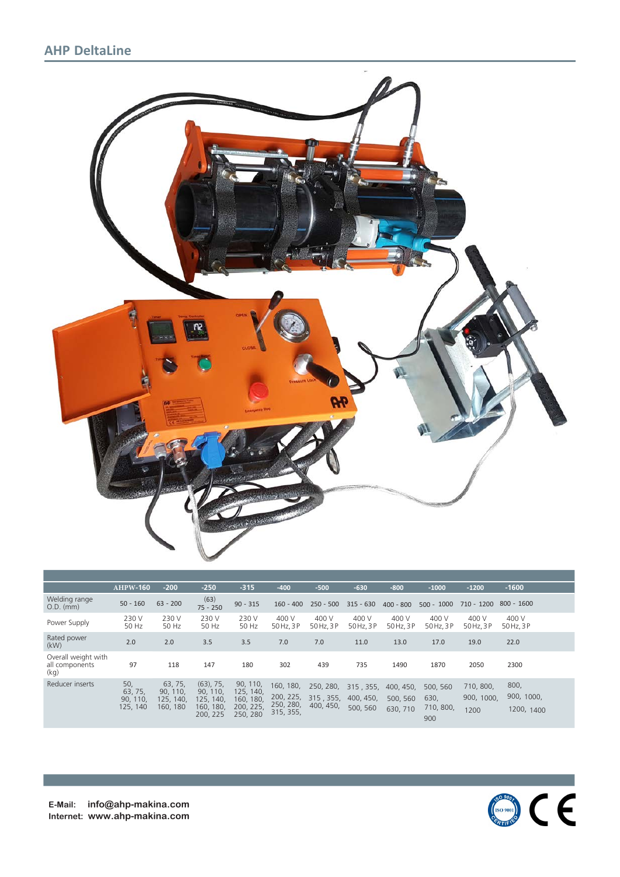# **AHP DeltaLine**



|                                               | $AHPW-160$                             | $-200$                                       | $-250$                                                         | $-315$                                                    | $-400$                                           | $-500$                              | $-630$                             | $-800$                            | $-1000$                              | $-1200$                         | $-1600$                          |  |
|-----------------------------------------------|----------------------------------------|----------------------------------------------|----------------------------------------------------------------|-----------------------------------------------------------|--------------------------------------------------|-------------------------------------|------------------------------------|-----------------------------------|--------------------------------------|---------------------------------|----------------------------------|--|
| Welding range<br>$O.D.$ (mm)                  | $50 - 160$                             | $63 - 200$                                   | (63)<br>$75 - 250$                                             | $90 - 315$                                                | $160 - 400$                                      | $250 - 500$                         | $315 - 630$                        | $400 - 800$                       | $500 - 1000$                         | $710 - 1200$                    | $800 - 1600$                     |  |
| Power Supply                                  | 230 V<br>50 Hz                         | 230 V<br>50 Hz                               | 230 V<br>50 Hz                                                 | 230 V<br>50 Hz                                            | 400 V<br>50 Hz, 3P                               | 400 V<br>50 Hz, 3P                  | 400 V<br>50 Hz, 3P                 | 400 V<br>50 Hz, 3P                | 400 V<br>50 Hz, 3P                   | 400 V<br>50 Hz, 3P              | 400 V<br>50 Hz, 3P               |  |
| Rated power<br>(kW)                           | 2.0                                    | 2.0                                          | 3.5                                                            | 3.5                                                       | 7.0                                              | 7.0                                 | 11.0                               | 13.0                              | 17.0                                 | 19.0                            | 22.0                             |  |
| Overall weight with<br>all components<br>(kq) | 97                                     | 118                                          | 147                                                            | 180                                                       | 302                                              | 439                                 | 735                                | 1490                              | 1870                                 | 2050                            | 2300                             |  |
| Reducer inserts                               | 50,<br>63, 75,<br>90, 110.<br>125, 140 | 63, 75,<br>90, 110.<br>125, 140.<br>160, 180 | $(63)$ , 75,<br>90, 110,<br>125, 140,<br>160, 180,<br>200, 225 | 90, 110,<br>125, 140,<br>160, 180<br>200, 225<br>250, 280 | 160, 180,<br>200, 225,<br>250, 280,<br>315, 355, | 250, 280,<br>315, 355,<br>400, 450, | 315, 355,<br>400, 450,<br>500, 560 | 400, 450.<br>500, 560<br>630, 710 | 500, 560<br>630,<br>710, 800,<br>900 | 710, 800,<br>900, 1000.<br>1200 | 800,<br>900, 1000,<br>1200, 1400 |  |



**E-Mail: info@ahp-makina.com Internet: www.ahp-makina.com**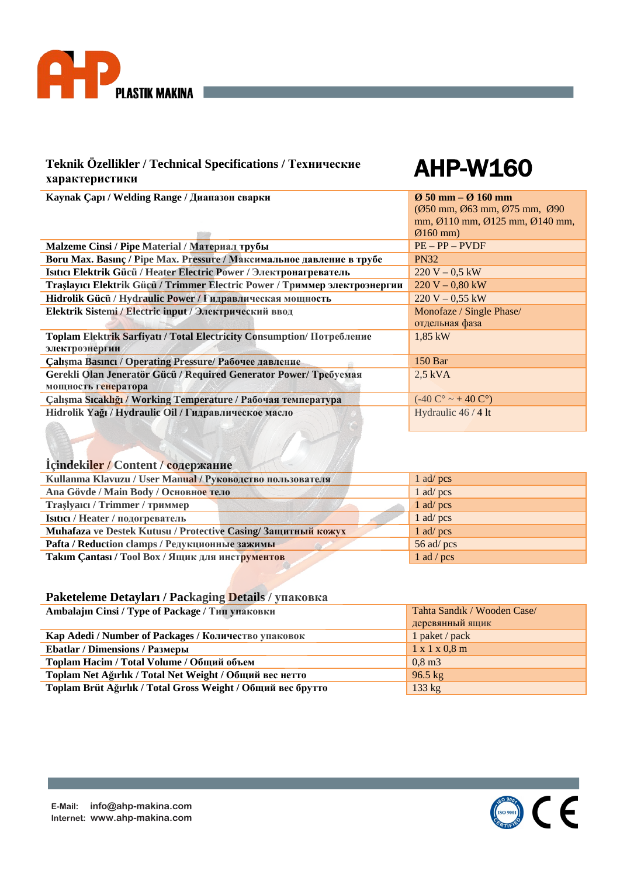

# AHP-W160

**Kaynak Çapı / Welding Range / Диапазон сварки Ø 50 mm – Ø 160 mm**

|                                                                            | (Ø50 mm, Ø63 mm, Ø75 mm, Ø90                                    |
|----------------------------------------------------------------------------|-----------------------------------------------------------------|
|                                                                            | mm, $\emptyset$ 110 mm, $\emptyset$ 125 mm, $\emptyset$ 140 mm, |
|                                                                            | $\varnothing$ 160 mm)                                           |
| Malzeme Cinsi / Ріре Material / Материал трубы                             | $PE - PP - PVDF$                                                |
| Boru Max. Basing / Pipe Max. Pressure / Максимальное давление в трубе      | <b>PN32</b>                                                     |
| Isitici Elektrik Gücü / Heater Electric Power / Электронагреватель         | $220 V - 0.5 kW$                                                |
| Traşlayıcı Elektrik Güçü / Trimmer Electric Power / Триммер электроэнергии | $220 V - 0,80 kW$                                               |
| Hidrolik Gücü / Hydraulic Power / Гидравлическая мощность                  | $220 V - 0.55 kW$                                               |
| Elektrik Sistemi / Electric input / Электрический ввод                     | Monofaze / Single Phase/                                        |
|                                                                            | отдельная фаза                                                  |
| Toplam Elektrik Sarfiyatı / Total Electricity Consumption/ Потребление     | $1,85$ kW                                                       |
| электроэнергии                                                             |                                                                 |
| Çalışma Basıncı / Operating Pressure/ Рабочее давление                     | 150 Bar                                                         |
| Gerekli Olan Jeneratör Gücü / Required Generator Power/ Требуемая          | $2.5$ kVA                                                       |
| мощность генератора                                                        |                                                                 |
| Calisma Sicakliği / Working Temperature / Рабочая температура              | $(-40 C^{\circ} \sim +40 C^{\circ})$                            |
| Hidrolik Yağı / Hydraulic Oil / Гидравлическое масло                       | Hydraulic 46 / 4 lt                                             |
|                                                                            |                                                                 |

### **İçindekiler / Content / содержание**

| Kullanma Klavuzu / User Manual / Руководство пользователя     | 1 ad/ $pcs$  |
|---------------------------------------------------------------|--------------|
| Ana Gövde / Main Body / Основное тело                         | $1$ ad/pcs   |
| Traslyaici / Trimmer / триммер                                | 1 ad/ $pcs$  |
| Isitici / Неаter / подогреватель                              | 1 ad/ pcs    |
| Muhafaza ve Destek Kutusu / Protective Casing/ Защитный кожух | 1 ad/ $pcs$  |
| Pafta / Reduction clamps / Редукционные зажимы                | 56 ad/ $pcs$ |
| Takim Cantasi / Tool Box / Ящик для инструментов              | 1 ad / $pcs$ |

| Ambalajın Cinsi / Туре of Package / Тип упаковки            | Tahta Sandık / Wooden Case/ |
|-------------------------------------------------------------|-----------------------------|
|                                                             | деревянный ящик             |
| Kap Adedi / Number of Packages / Количество упаковок        | 1 paket / pack              |
| <b>Ebatlar / Dimensions / Размеры</b>                       | $1 \times 1 \times 0.8$ m   |
| Toplam Hacim / Total Volume / Общий объем                   | $0,8 \,\mathrm{m}$ 3        |
| Toplam Net Ağırlık / Total Net Weight / Общий вес нетто     | $96.5 \text{ kg}$           |
| Toplam Brüt Ağırlık / Total Gross Weight / Общий вес брутто | 133 kg                      |

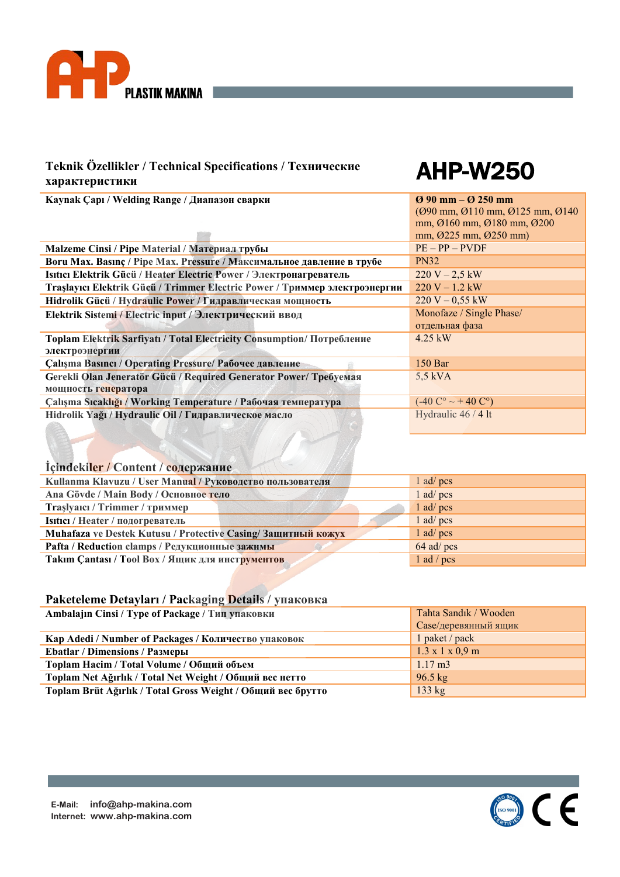

# AHP-W250

| Kaynak Çapı / Welding Range / Диапазон сварки                                 | $\varnothing$ 90 mm – $\varnothing$ 250 mm |
|-------------------------------------------------------------------------------|--------------------------------------------|
|                                                                               | (Ø90 mm, Ø110 mm, Ø125 mm, Ø140)           |
|                                                                               | mm, Ø160 mm, Ø180 mm, Ø200                 |
|                                                                               | mm, Ø225 mm, Ø250 mm)                      |
| Malzeme Cinsi / Pipe Material / Материал трубы                                | $PE - PP - PVDF$                           |
| Boru Max. Basinc / Pipe Max. Pressure / Максимальное давление в трубе         | <b>PN32</b>                                |
| Isitici Elektrik Gücü / Heater Electric Power / Электронагреватель            | $220 V - 2.5 kW$                           |
| Traslayıcı Elektrik Gücü / Trimmer Electric Power / Триммер электроэнергии    | $220 V - 1.2 kW$                           |
| Hidrolik Gücü / Hydraulic Power / Гидравлическая мощность                     | $220 V - 0.55 kW$                          |
| Elektrik Sistemi / Electric input / Электрический ввод                        | Monofaze / Single Phase/                   |
|                                                                               | отдельная фаза                             |
| <b>Toplam Elektrik Sarfiyati / Total Electricity Consumption/ Потребление</b> | $4.25$ kW                                  |
| электроэнергии                                                                |                                            |
| Calışma Basıncı / Operating Pressure/ Рабочее давление                        | 150 <sub>Bar</sub>                         |
| Gerekli Olan Jeneratör Gücü / Required Generator Power/ Требуемая             | $5,5$ kVA                                  |
| мощность генератора                                                           |                                            |
| Çalışma Sıcaklığı / Working Temperature / Рабочая температура                 | $(-40 C^{\circ} \sim + 40 C^{\circ})$      |
| Hidrolik Yağı / Hydraulic Oil / Гидравлическое масло                          | Hydraulic 46 / 4 lt                        |
|                                                                               |                                            |

# **İçindekiler / Content / содержание**

| Kullanma Klavuzu / User Manual / Руководство пользователя    | $1$ ad/pcs   |
|--------------------------------------------------------------|--------------|
| Ana Gövde / Main Body / Основное тело                        | $1$ ad/pcs   |
| Trașlyaici / Trimmer / триммер                               | $1$ ad/pcs   |
| Isitici / Heater / подогреватель                             | $1$ ad/pcs   |
| Muhafaza ve Destek Kutusu / Protective Casing/Защитный кожух | $1$ ad/pcs   |
| Pafta / Reduction clamps / Редукционные зажимы               | 64 ad/ pcs   |
| Takim Cantasi / Tool Box / Ящик для инструментов             | $1$ ad / pcs |

| Ambalajin Cinsi / Туре of Package / Тип упаковки            | Tahta Sandık / Wooden       |
|-------------------------------------------------------------|-----------------------------|
|                                                             | Case/деревянный ящик        |
| Кар Adedi / Number of Packages / Количество упаковок        | 1 paket / pack              |
| <b>Ebatlar / Dimensions / Размеры</b>                       | $1.3 \times 1 \times 0.9$ m |
| Toplam Hacim / Total Volume / Общий объем                   | $1.17 \text{ m}^3$          |
| Toplam Net Ağırlık / Total Net Weight / Общий вес нетто     | $96.5 \text{ kg}$           |
| Toplam Brüt Ağırlık / Total Gross Weight / Общий вес брутто | 133 kg                      |

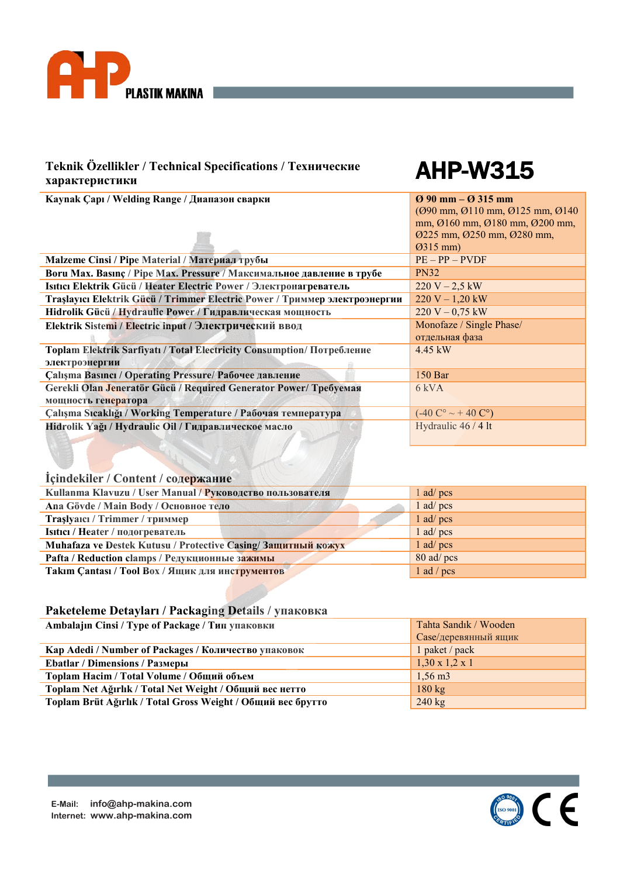

**Kaynak Çapı / Welding Range / Диапазон сварки Ø 90 mm – Ø 315 mm**

# AHP-W315

| Kaynak Çapı / Welding Kange / Дианазон сварки                              | V 70 MM - V 315 MM                                                    |
|----------------------------------------------------------------------------|-----------------------------------------------------------------------|
|                                                                            | (Ø90 mm, Ø110 mm, Ø125 mm, Ø140)                                      |
|                                                                            | mm, $\varnothing$ 160 mm, $\varnothing$ 180 mm, $\varnothing$ 200 mm, |
|                                                                            | $Q225$ mm, $Q250$ mm, $Q280$ mm,                                      |
|                                                                            | $Q315$ mm)                                                            |
| Malzeme Cinsi / Pipe Material / Материал трубы                             | $PE - PP - PVDF$                                                      |
| Boru Max. Basinc / Pipe Max. Pressure / Максимальное давление в трубе      | <b>PN32</b>                                                           |
| Isitici Elektrik Gücü / Heater Electric Power / Электронагреватель         | $220 V - 2.5 kW$                                                      |
| Traşlayıcı Elektrik Gücü / Trimmer Electric Power / Триммер электроэнергии | $220 V - 1,20 kW$                                                     |
| Hidrolik Gücü / Hydraulic Power / Гидравлическая мощность                  | $220 V - 0,75 kW$                                                     |
| Elektrik Sistemi / Electric input / Электрический ввод                     | Monofaze / Single Phase/                                              |
|                                                                            | отдельная фаза                                                        |
| Toplam Elektrik Sarfiyatı / Total Electricity Consumption/ Потребление     | $4.45 \text{ kW}$                                                     |
| электроэнергии                                                             |                                                                       |
| Çalışma Basıncı / Operating Pressure/ Рабочее давление                     | 150 Bar                                                               |
| Gerekli Olan Jeneratör Gücü / Required Generator Power/ Требуемая          | 6 kVA                                                                 |
| мощность генератора                                                        |                                                                       |
| Calışma Sıcaklığı / Working Temperature / Рабочая температура              | $(-40 C^{\circ} \sim + 40 C^{\circ})$                                 |
| Hidrolik Yağı / Hydraulic Oil / Гидравлическое масло                       | Hydraulic 46 / 4 lt                                                   |
|                                                                            |                                                                       |

# **İçindekiler / Content / содержание**

| Kullanma Klavuzu / User Manual / Руководство пользователя     | $1$ ad/pcs   |
|---------------------------------------------------------------|--------------|
| Ana Gövde / Main Body / Основное тело                         | $1$ ad/pcs   |
| Trașlyaici / Trimmer / триммер                                | $1$ ad/pcs   |
| Isitici / Неаter / подогреватель                              | $1$ ad/pcs   |
| Muhafaza ve Destek Kutusu / Protective Casing/ Защитный кожух | $1$ ad/pcs   |
| Pafta / Reduction clamps / Редукционные зажимы                | 80 ad/ pcs   |
| Takim Cantasi / Tool Box / Ящик для инструментов              | $1$ ad / pcs |

| Ambalajin Cinsi / Туре of Package / Тип упаковки            | Tahta Sandık / Wooden      |
|-------------------------------------------------------------|----------------------------|
|                                                             | Саse/деревянный ящик       |
| Кар Adedi / Number of Packages / Количество упаковок        | 1 paket / pack             |
| <b>Ebatlar / Dimensions / Размеры</b>                       | $1,30 \times 1,2 \times 1$ |
| Toplam Hacim / Total Volume / Общий объем                   | $1,56 \text{ m}$           |
| Toplam Net Ağırlık / Total Net Weight / Общий вес нетто     | $180 \text{ kg}$           |
| Toplam Brüt Ağırlık / Total Gross Weight / Общий вес брутто | $240 \text{ kg}$           |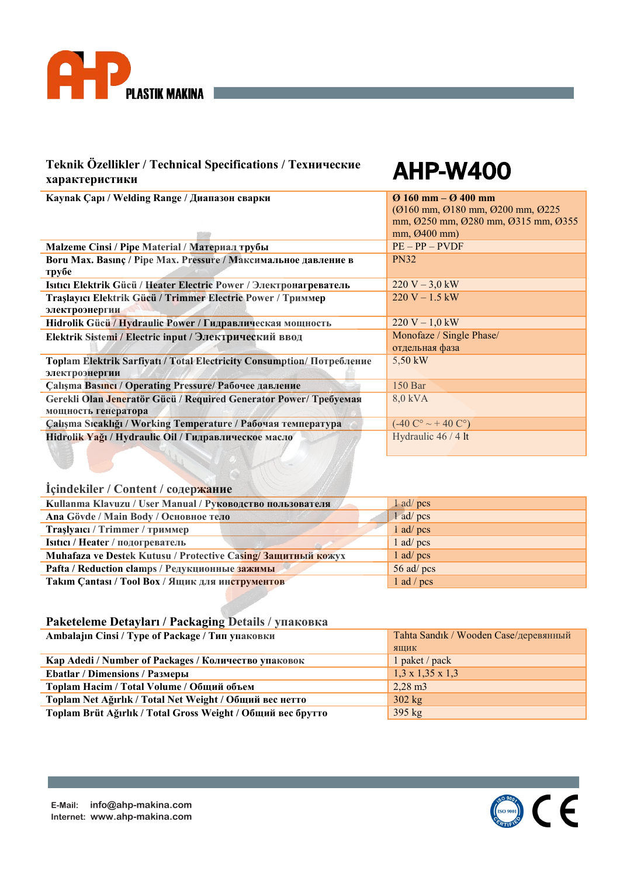

# AHP-W400

**Kaynak Çapı / Welding Range / Диапазон сварки Ø 160 mm – Ø 400 mm**

|                                                                        | $(0.0160)$ mm, $(0.180)$ mm, $(0.0200)$ mm, $(0.0225)$ |
|------------------------------------------------------------------------|--------------------------------------------------------|
|                                                                        | mm, Ø250 mm, Ø280 mm, Ø315 mm, Ø355                    |
|                                                                        | mm, Ø400mm)                                            |
| Malzeme Cinsi / Pipe Material / Материал трубы                         | $PE - PP - PVDF$                                       |
| Boru Max. Basinc / Pipe Max. Pressure / Максимальное давление в        | <b>PN32</b>                                            |
| трубе                                                                  |                                                        |
| Isitici Elektrik Gücü / Heater Electric Power / Электронагреватель     | $220 V - 3.0 kW$                                       |
| Traşlayıcı Elektrik Gücü / Trimmer Electric Power / Триммер            | $220 V - 1.5 kW$                                       |
| электроэнергии                                                         |                                                        |
| Hidrolik Gücü / Hydraulic Power / Гидравлическая мощность              | $220 V - 1,0 kW$                                       |
| Elektrik Sistemi / Electric input / Электрический ввод                 | Monofaze / Single Phase/                               |
|                                                                        | отдельная фаза                                         |
| Toplam Elektrik Sarfiyatı / Total Electricity Consumption/ Потребление | 5,50 kW                                                |
| электроэнергии                                                         |                                                        |
| Calisma Basinci / Operating Pressure/ Рабочее давление                 | 150 Bar                                                |
| Gerekli Olan Jeneratör Gücü / Required Generator Power/ Требуемая      | 8,0 kVA                                                |
| мощность генератора                                                    |                                                        |
| Çalışma Sıcaklığı / Working Temperature / Рабочая температура          | $(-40 C^{\circ} \sim + 40 C^{\circ})$                  |
| Hidrolik Yağı / Hydraulic Oil / Гидравлическое масло                   | Hydraulic 46 / 4 lt                                    |
|                                                                        |                                                        |

### **İçindekiler / Content / содержание**

| Kullanma Klavuzu / User Manual / Руководство пользователя    | 1 ad/ pcs    |
|--------------------------------------------------------------|--------------|
| Ana Gövde / Main Body / Основное тело                        | 1 ad/ pcs    |
| Traşlyaici / Trimmer / триммер                               | $1$ ad/pcs   |
| Isitici / Heater / подогреватель                             | 1 ad/ pcs    |
| Muhafaza ve Destek Kutusu / Protective Casing/Защитный кожух | $1$ ad/pcs   |
| Pafta / Reduction clamps / Редукционные зажимы               | 56 ad/ $pcs$ |
| Takim Cantasi / Tool Box / Ящик для инструментов             | $1$ ad / pcs |

| Ambalajin Cinsi / Туре of Package / Тип упаковки            | Tahta Sandık / Wooden Case/деревянный |
|-------------------------------------------------------------|---------------------------------------|
|                                                             | ЯЩИК                                  |
| Kap Adedi / Number of Packages / Количество упаковок        | 1 paket / pack                        |
| <b>Ebatlar / Dimensions / Размеры</b>                       | $1,3 \times 1,35 \times 1,3$          |
| Toplam Hacim / Total Volume / Общий объем                   | $2,28 \text{ m}$                      |
| Toplam Net Ağırlık / Total Net Weight / Общий вес нетто     | $302 \text{ kg}$                      |
| Toplam Brüt Ağırlık / Total Gross Weight / Общий вес брутто | $395$ kg                              |

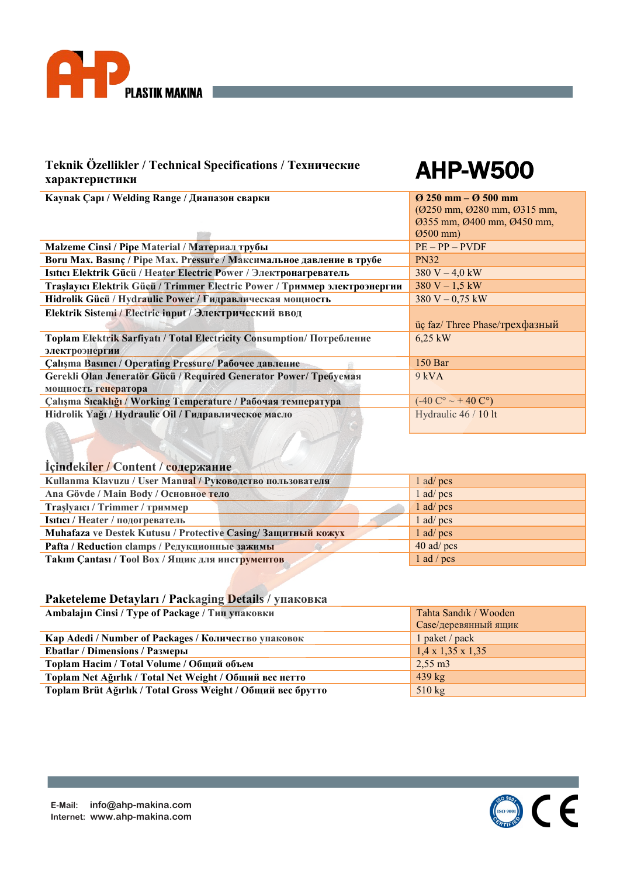

# AHP-W500

**Kaynak Çapı / Welding Range / Диапазон сварки Ø 250 mm – Ø 500 mm** (Ø250 mm, Ø280 mm, Ø315 mm, Ø355 mm, Ø400 mm, Ø450 mm, Ø500 mm) **Malzeme Cinsi / Pipe Material / Материал трубы** PE – PP – PVDF **Boru Max. Basınç / Pipe Max. Pressure / Максимальное давление в трубе** PN32 **Isıtıcı Elektrik Gücü / Heater Electric Power / Электронагреватель** 380 V – 4,0 kW **Traslayıcı Elektrik Gücü / Trimmer Electric Power / Триммер электроэнергии Hidrolik Gücü / Hydraulic Power / Гидравлическая мощность** 380 V – 0,75 kW **Elektrik Sistemi / Electric input / Электрический ввод** üç faz/ Three Phase/трехфазный **Toplam Elektrik Sarfiyatı / Total Electricity Consumption/ Потребление электроэнергии**  6,25 kW **Çalışma Basıncı / Operating Pressure/ Рабочее давление** 150 Bar **Gerekli Olan Jeneratör Gücü / Required Generator Power/ Требуемая мощность генератора**  9 kVA **Çalışma Sıcaklığı / Working Temperature / Рабочая температура** (-40 C° ~ + 40 C°) **Hidrolik Yağı / Hydraulic Oil / Гидравлическое масло** Hydraulic 46 / 10 lt

#### **İçindekiler / Content / содержание**

| Kullanma Klavuzu / User Manual / Руководство пользователя    | $1$ ad/pcs   |
|--------------------------------------------------------------|--------------|
| Ana Gövde / Main Body / Основное тело                        | $1$ ad/pcs   |
| Trașlyaici / Trimmer / триммер                               | $1$ ad/pcs   |
| Isitici / Неаter / подогреватель                             | $1$ ad/pcs   |
| Muhafaza ve Destek Kutusu / Protective Casing/Защитный кожух | $1$ ad/pcs   |
| Pafta / Reduction clamps / Редукционные зажимы               | $40$ ad/pcs  |
| Takim Cantasi / Tool Box / Ящик для инструментов             | $1$ ad / pcs |

| Ambalajin Cinsi / Туре of Package / Тип упаковки            | Tahta Sandık / Wooden         |
|-------------------------------------------------------------|-------------------------------|
|                                                             | Саse/деревянный ящик          |
| Кар Adedi / Number of Packages / Количество упаковок        | 1 paket / pack                |
| <b>Ebatlar / Dimensions / Размеры</b>                       | $1,4 \times 1,35 \times 1,35$ |
| Toplam Hacim / Total Volume / Общий объем                   | $2,55 \text{ m}$ 3            |
| Toplam Net Ağırlık / Total Net Weight / Общий вес нетто     | $439$ kg                      |
| Toplam Brüt Ağırlık / Total Gross Weight / Общий вес брутто | $510 \text{ kg}$              |

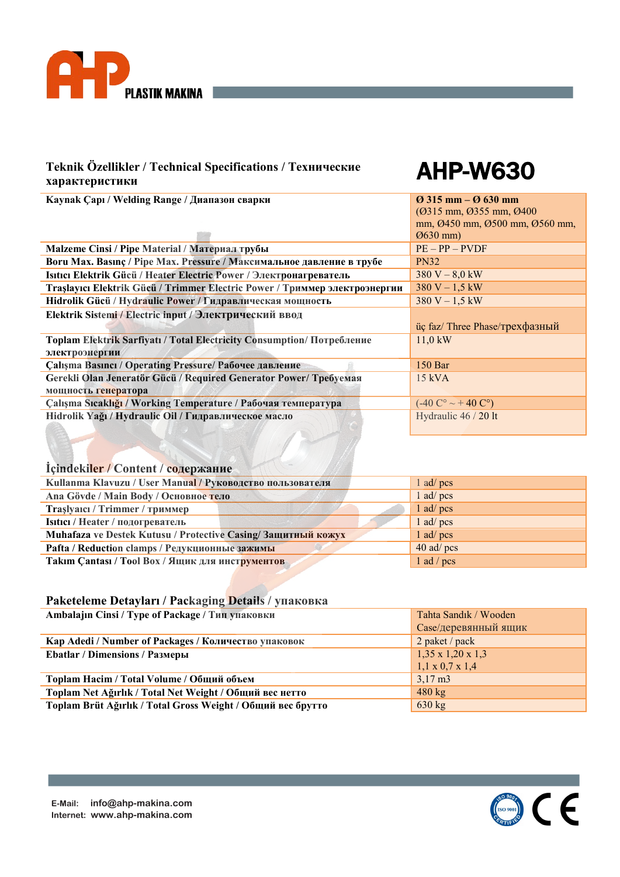

# AHP-W630

| Kaynak Çapı / Welding Range / Диапазон сварки                                 | $\varnothing$ 315 mm – $\varnothing$ 630 mm |
|-------------------------------------------------------------------------------|---------------------------------------------|
|                                                                               | (Ø315 mm, Ø355 mm, Ø400                     |
|                                                                               | mm, Ø450 mm, Ø500 mm, Ø560 mm,              |
|                                                                               | $\varnothing$ 630 mm)                       |
| Malzeme Cinsi / Pipe Material / Материал трубы                                | $PE - PP - PVDF$                            |
| Boru Max. Basinc / Pipe Max. Pressure / Максимальное давление в трубе         | <b>PN32</b>                                 |
| Isitici Elektrik Gücü / Heater Electric Power / Электронагреватель            | $380 V - 8.0 kW$                            |
| Traşlayıcı Elektrik Gücü / Trimmer Electric Power / Триммер электроэнергии    | $380 V - 1,5 kW$                            |
| Hidrolik Gücü / Hydraulic Power / Гидравлическая мощность                     | $380 V - 1.5 kW$                            |
| Elektrik Sistemi / Electric input / Электрический ввод                        |                                             |
|                                                                               | üç faz/Three Phase/трехфазный               |
| <b>Toplam Elektrik Sarfiyatı / Total Electricity Consumption/ Потребление</b> | $11.0 \text{ kW}$                           |
| электроэнергии                                                                |                                             |
| Calisma Basinci / Operating Pressure/ Рабочее давление                        | $150$ Bar                                   |
| Gerekli Olan Jeneratör Gücü / Required Generator Power/ Требуемая             | $15$ kVA                                    |
| мощность генератора                                                           |                                             |
| Calışma Sıcaklığı / Working Temperature / Рабочая температура                 | $(-40 C^{\circ} \sim + 40 C^{\circ})$       |
| Hidrolik Yağı / Hydraulic Oil / Гидравлическое масло                          | Hydraulic 46 / 20 lt                        |
|                                                                               |                                             |

### **İçindekiler / Content / содержание**

| Kullanma Klavuzu / User Manual / Руководство пользователя    | $1$ ad/pcs   |
|--------------------------------------------------------------|--------------|
| Ana Gövde / Main Body / Основное тело                        | $1$ ad/pcs   |
| Trașlyaici / Trimmer / триммер                               | $1$ ad/pcs   |
| Isitici / Неаter / подогреватель                             | $1$ ad/pcs   |
| Muhafaza ve Destek Kutusu / Protective Casing/Защитный кожух | $1$ ad/pcs   |
| Pafta / Reduction clamps / Редукционные зажимы               | $40$ ad/pcs  |
| Takim Cantasi / Tool Box / Ящик для инструментов             | $1$ ad / pcs |

| Ambalajin Cinsi / Туре of Package / Тип упаковки            | Tahta Sandık / Wooden         |
|-------------------------------------------------------------|-------------------------------|
|                                                             | Case/деревянный ящик          |
| Кар Adedi / Number of Packages / Количество упаковок        | 2 paket / pack                |
| <b>Ebatlar / Dimensions / Размеры</b>                       | $1,35 \times 1,20 \times 1,3$ |
|                                                             | $1,1 \times 0,7 \times 1,4$   |
| Toplam Hacim / Total Volume / Общий объем                   | $3,17 \text{ m}$              |
| Toplam Net Ağırlık / Total Net Weight / Общий вес нетто     | $480 \text{ kg}$              |
| Toplam Brüt Ağırlık / Total Gross Weight / Общий вес брутто | $630 \text{ kg}$              |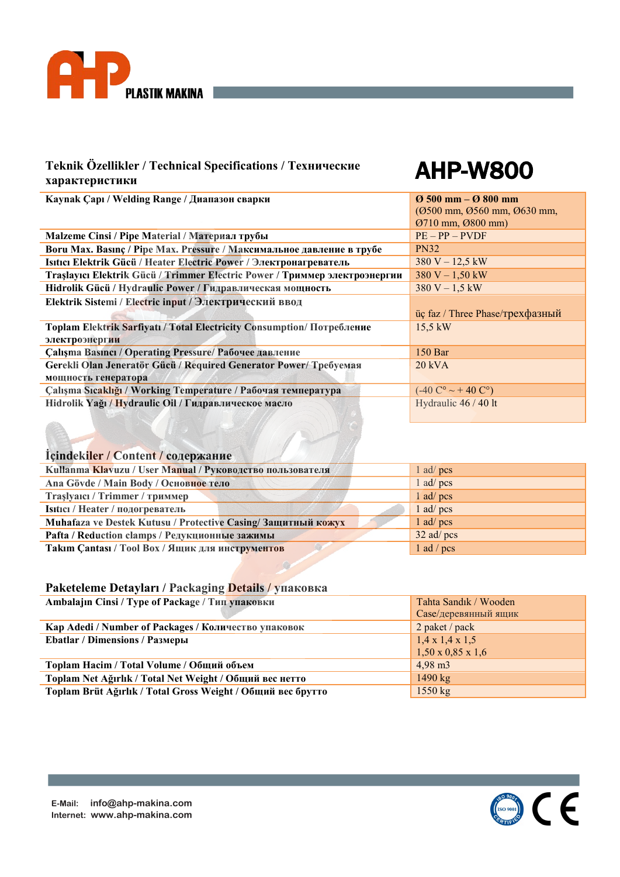

# AHP-W800

| Kaynak Çapı / Welding Range / Диапазон сварки                                 | $\varnothing$ 500 mm – $\varnothing$ 800 mm           |
|-------------------------------------------------------------------------------|-------------------------------------------------------|
|                                                                               | (Ø500 mm, Ø560 mm, Ø630 mm,                           |
|                                                                               | 0710 mm, 0800 mm)                                     |
| Malzeme Cinsi / Ріре Material / Материал трубы                                | $PE - PP - PVDF$                                      |
| Boru Max. Basinc / Pipe Max. Pressure / Максимальное давление в трубе         | <b>PN32</b>                                           |
| Isitici Elektrik Gücü / Heater Electric Power / Электронагреватель            | $380 V - 12,5 kW$                                     |
| Traşlayıcı Elektrik Gücü / Trimmer Electric Power / Триммер электроэнергии    | $380 V - 1,50 kW$                                     |
| Hidrolik Gücü / Hydraulic Power / Гидравлическая мощность                     | $380 V - 1,5 kW$                                      |
| Elektrik Sistemi / Electric input / Электрический ввод                        |                                                       |
|                                                                               | üç faz / Three Phase/трехфазный                       |
| <b>Toplam Elektrik Sarfiyati / Total Electricity Consumption/ Потребление</b> | $15.5 \text{ kW}$                                     |
| электроэнергии                                                                |                                                       |
| <b>Çalışma Basıncı / Operating Pressure/ Рабочее давление</b>                 | $150$ Bar                                             |
| Gerekli Olan Jeneratör Gücü / Required Generator Power/ Требуемая             | $20$ kVA                                              |
| мощность генератора                                                           |                                                       |
| Çalışma Sıcaklığı / Working Temperature / Рабочая температура                 | $(-40 \degree C^{\circ} \sim + 40 \degree C^{\circ})$ |
| Hidrolik Yağı / Hydraulic Oil / Гидравлическое масло                          | Hydraulic 46 / 40 lt                                  |
|                                                                               |                                                       |

# **İçindekiler / Content / содержание**

| Kullanma Klavuzu / User Manual / Руководство пользователя    | 1 ad/ $pcs$  |
|--------------------------------------------------------------|--------------|
| Ana Gövde / Main Body / Основное тело                        | $1$ ad/pcs   |
| Traslyaici / Trimmer / триммер                               | $1$ ad/pcs   |
| Isitici / Неаter / подогреватель                             | $1$ ad/pcs   |
| Muhafaza ve Destek Kutusu / Protective Casing/Защитный кожух | $1$ ad/pcs   |
| Pafta / Reduction clamps / Редукционные зажимы               | $32$ ad/pcs  |
| Takim Çantası / Tool Box / Ящик для инструментов             | $1$ ad / pcs |

| Ambalajin Cinsi / Туре of Package / Тип упаковки            | Tahta Sandık / Wooden         |
|-------------------------------------------------------------|-------------------------------|
|                                                             | Case/деревянный ящик          |
| Кар Adedi / Number of Packages / Количество упаковок        | 2 paket / pack                |
| <b>Ebatlar / Dimensions / Размеры</b>                       | $1,4 \times 1,4 \times 1,5$   |
|                                                             | $1,50 \times 0,85 \times 1,6$ |
| Toplam Hacim / Total Volume / Общий объем                   | $4,98 \text{ m}$              |
| Toplam Net Ağırlık / Total Net Weight / Общий вес нетто     | 1490 $kg$                     |
| Toplam Brüt Ağırlık / Total Gross Weight / Общий вес брутто | $1550 \text{ kg}$             |

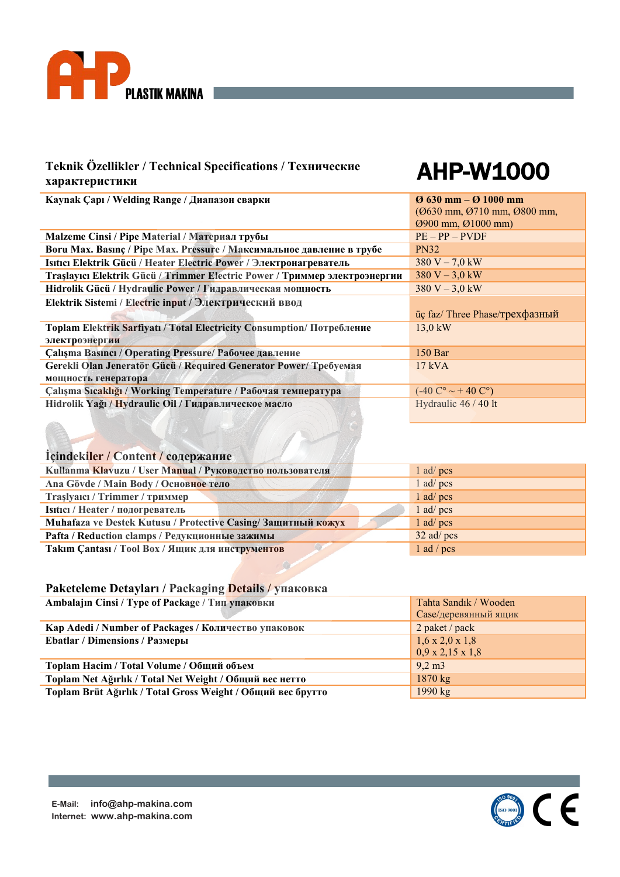

# AHP-W1000

| Kaynak Çapı / Welding Range / Диапазон сварки                              | $\sigma$ 630 mm – $\sigma$ 1000 mm    |
|----------------------------------------------------------------------------|---------------------------------------|
|                                                                            | (Ø630 mm, Ø710 mm, Ø800 mm,           |
|                                                                            | $Q900$ mm, $Q1000$ mm)                |
| Malzeme Cinsi / Ріре Material / Материал трубы                             | $PE - PP - PVDF$                      |
| Boru Max. Basinç / Pipe Max. Pressure / Максимальное давление в трубе      | <b>PN32</b>                           |
| Isitici Elektrik Gücü / Heater Electric Power / Электронагреватель         | $380 V - 7,0 kW$                      |
| Traşlayıcı Elektrik Gücü / Trimmer Electric Power / Триммер электроэнергии | $380 V - 3.0 kW$                      |
| Hidrolik Gücü / Hydraulic Power / Гидравлическая мощность                  | $380 V - 3.0 kW$                      |
| Elektrik Sistemi / Electric input / Электрический ввод                     |                                       |
|                                                                            | üç faz/Three Phase/трехфазный         |
| Toplam Elektrik Sarfiyatı / Total Electricity Consumption/ Потребление     | $13.0 \text{ kW}$                     |
| электроэнергии                                                             |                                       |
| <b>Çalışma Basıncı / Operating Pressure/ Рабочее давление</b>              | $150$ Bar                             |
| Gerekli Olan Jeneratör Gücü / Required Generator Power/ Требуемая          | $17$ kVA                              |
| мощность генератора                                                        |                                       |
| Çalışma Sıcaklığı / Working Temperature / Рабочая температура              | $(-40 C^{\circ} \sim + 40 C^{\circ})$ |
| Hidrolik Yağı / Hydraulic Oil / Гидравлическое масло                       | Hydraulic 46 / 40 lt                  |
|                                                                            |                                       |

# **İçindekiler / Content / содержание**

| Kullanma Klavuzu / User Manual / Руководство пользователя    | $1$ ad/pcs   |
|--------------------------------------------------------------|--------------|
| Ana Gövde / Main Body / Основное тело                        | $1$ ad/pcs   |
| Trașlyaici / Trimmer / триммер                               | $1$ ad/pcs   |
| Isitici / Неаter / подогреватель                             | 1 ad/ pcs    |
| Muhafaza ve Destek Kutusu / Protective Casing/Защитный кожух | $1$ ad/pcs   |
| Pafta / Reduction clamps / Редукционные зажимы               | $32$ ad/pcs  |
| Takim Cantasi / Tool Box / Ящик для инструментов             | $1$ ad / pcs |

| Ambalajin Cinsi / Туре of Package / Тип упаковки            | Tahta Sandık / Wooden        |
|-------------------------------------------------------------|------------------------------|
|                                                             | Саse/деревянный ящик         |
| Kap Adedi / Number of Packages / Количество упаковок        | 2 paket / pack               |
| <b>Ebatlar / Dimensions / Размеры</b>                       | $1,6 \times 2,0 \times 1,8$  |
|                                                             | $0.9 \times 2.15 \times 1.8$ |
| Toplam Hacim / Total Volume / Общий объем                   | $9,2 \text{ m}$              |
| Toplam Net Ağırlık / Total Net Weight / Общий вес нетто     | $1870 \text{ kg}$            |
| Toplam Brüt Ağırlık / Total Gross Weight / Общий вес брутто | 1990 $kg$                    |

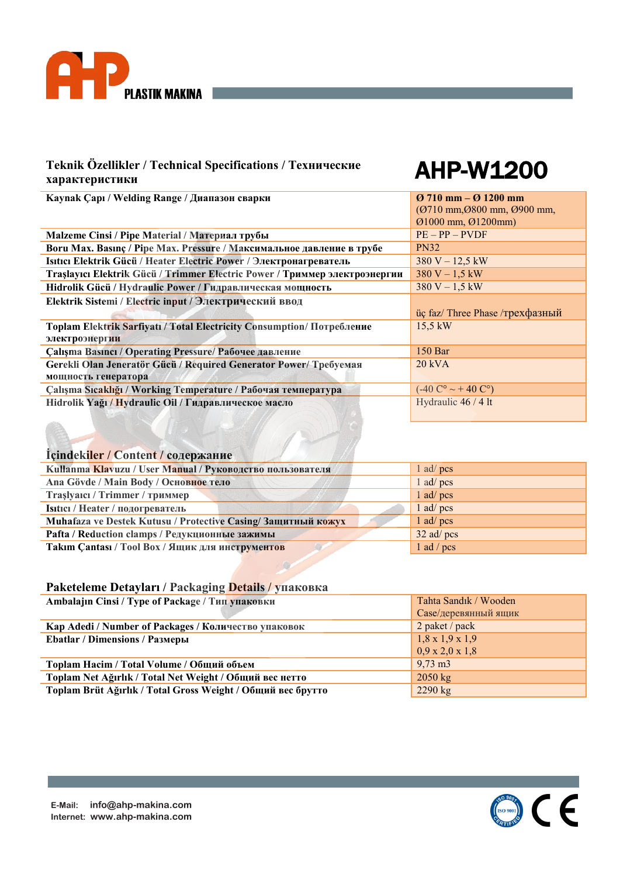

# AHP-W1200

| Kaynak Çapı / Welding Range / Диапазон сварки                                 | $\sigma$ 710 mm – $\sigma$ 1200 mm                    |  |  |  |  |
|-------------------------------------------------------------------------------|-------------------------------------------------------|--|--|--|--|
|                                                                               | $(0710 \text{ mm}, 0800 \text{ mm}, 0900 \text{ mm})$ |  |  |  |  |
|                                                                               | $Q1000$ mm, $Q1200$ mm)                               |  |  |  |  |
| Malzeme Cinsi / Ріре Material / Материал трубы                                | $PE - PP - PVDF$                                      |  |  |  |  |
| Boru Max. Basinç / Pipe Max. Pressure / Максимальное давление в трубе         | <b>PN32</b>                                           |  |  |  |  |
| Isitici Elektrik Gücü / Heater Electric Power / Электронагреватель            | $380 V - 12.5 kW$                                     |  |  |  |  |
| Traşlayıcı Elektrik Gücü / Trimmer Electric Power / Триммер электроэнергии    | $380 V - 1,5 kW$                                      |  |  |  |  |
| Hidrolik Gücü / Hydraulic Power / Гидравлическая мощность                     | $380 V - 1.5 kW$                                      |  |  |  |  |
| Elektrik Sistemi / Electric input / Электрический ввод                        |                                                       |  |  |  |  |
|                                                                               | üç faz/ Three Phase /трехфазный                       |  |  |  |  |
| <b>Toplam Elektrik Sarfiyati / Total Electricity Consumption/ Потребление</b> | $15.5 \text{ kW}$                                     |  |  |  |  |
| электроэнергии                                                                |                                                       |  |  |  |  |
| <b>Çalışma Basıncı / Operating Pressure/ Рабочее давление</b>                 | 150 Bar                                               |  |  |  |  |
| Gerekli Olan Jeneratör Gücü / Required Generator Power/ Требуемая             | $20$ kVA                                              |  |  |  |  |
| мощность генератора                                                           |                                                       |  |  |  |  |
| Calışma Sıcaklığı / Working Temperature / Рабочая температура                 | $(-40 C^{\circ} \sim + 40 C^{\circ})$                 |  |  |  |  |
| Hidrolik Yağı / Hydraulic Oil / Гидравлическое масло                          | Hydraulic 46 / 4 lt                                   |  |  |  |  |
|                                                                               |                                                       |  |  |  |  |

# **İçindekiler / Content / содержание**

| Kullanma Klavuzu / User Manual / Руководство пользователя    | $1$ ad/pcs   |
|--------------------------------------------------------------|--------------|
| Ana Gövde / Main Body / Основное тело                        | $1$ ad/pcs   |
| Trașlyaici / Trimmer / триммер                               | 1 ad/ pcs    |
| Isitici / Неаter / подогреватель                             | $1$ ad/pcs   |
| Muhafaza ve Destek Kutusu / Protective Casing/Защитный кожух | $1$ ad/pcs   |
| Pafta / Reduction clamps / Редукционные зажимы               | $32$ ad/pcs  |
| Takim Cantasi / Tool Box / Ящик для инструментов             | 1 ad / $pcs$ |

| Ambalajin Cinsi / Туре of Package / Тип упаковки            | Tahta Sandık / Wooden       |  |  |
|-------------------------------------------------------------|-----------------------------|--|--|
|                                                             | Case/деревянный ящик        |  |  |
| Kap Adedi / Number of Packages / Количество упаковок        | 2 paket / pack              |  |  |
| <b>Ebatlar / Dimensions / Размеры</b>                       | $1,8 \times 1,9 \times 1,9$ |  |  |
|                                                             | $0.9 \times 2.0 \times 1.8$ |  |  |
| Toplam Hacim / Total Volume / Общий объем                   | $9,73 \text{ m}$            |  |  |
| Toplam Net Ağırlık / Total Net Weight / Общий вес нетто     | $2050 \text{ kg}$           |  |  |
| Toplam Brüt Ağırlık / Total Gross Weight / Общий вес брутто | $2290$ kg                   |  |  |

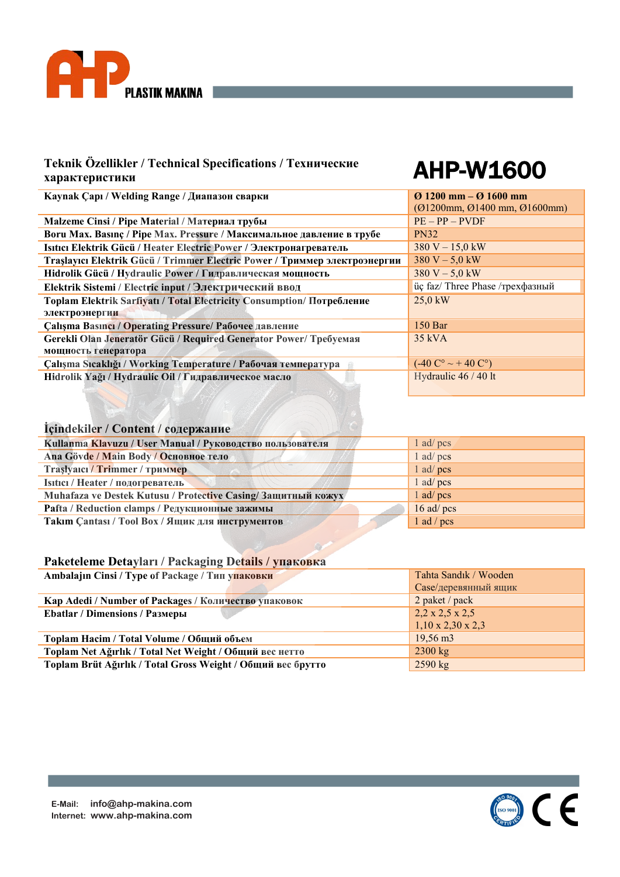

# AHP-W1600

| Kaynak Çapı / Welding Range / Диапазон сварки                                | $\sigma$ 1200 mm – $\sigma$ 1600 mm   |  |  |  |
|------------------------------------------------------------------------------|---------------------------------------|--|--|--|
|                                                                              | $(01200$ mm, $01400$ mm, $01600$ mm)  |  |  |  |
| Malzeme Cinsi / Ріре Material / Материал трубы                               | $PE - PP - PVDF$                      |  |  |  |
| Boru Max. Basinc / Pipe Max. Pressure / Максимальное давление в трубе        | <b>PN32</b>                           |  |  |  |
| Isitici Elektrik Gücü / Heater Electric Power / Электронагреватель           | $380 V - 15.0 kW$                     |  |  |  |
| Traşlayıcı Elektrik Gücü / Trimmer Electric Power / Триммер электроэнергии   | $380 V - 5.0 kW$                      |  |  |  |
| Hidrolik Gücü / Hydraulic Power / Гидравлическая мощность                    | $380 V - 5.0 kW$                      |  |  |  |
| Elektrik Sistemi / Electric input / Электрический ввод                       | üç faz/ Three Phase /трехфазный       |  |  |  |
| Toplam Elektrik Sarfiyatı / Total Electricity Consumption/ Потребление       | $25.0 \text{ kW}$                     |  |  |  |
| электроэнергии                                                               |                                       |  |  |  |
| Calisma Basinci / Operating Pressure/ Рабочее давление                       | 150 <sub>Bar</sub>                    |  |  |  |
| Gerekli Olan Jeneratör Gücü / Required Generator Power/ Требуемая            | $35$ kVA                              |  |  |  |
| мощность генератора                                                          |                                       |  |  |  |
| Çalışma Sıcaklığı / Working Temperature / Рабочая температура                | $(-40 C^{\circ} \sim + 40 C^{\circ})$ |  |  |  |
| Hydraulic 46 / 40 lt<br>Hidrolik Yağı / Hydraulic Oil / Гидравлическое масло |                                       |  |  |  |
|                                                                              |                                       |  |  |  |

## **İçindekiler / Content / содержание**

| Kullanma Klavuzu / User Manual / Руководство пользователя    | $1$ ad/pcs   |
|--------------------------------------------------------------|--------------|
| Ana Gövde / Main Body / Основное тело                        | $1$ ad/pcs   |
| Trașlyaici / Trimmer / триммер                               | $1$ ad/pcs   |
| Isitici / Heater / подогреватель                             | $1$ ad/pcs   |
| Muhafaza ve Destek Kutusu / Protective Casing/Защитный кожух | $1$ ad/pcs   |
| Pafta / Reduction clamps / Редукционные зажимы               | $16$ ad/pcs  |
| Takim Cantasi / Tool Box / Ящик для инструментов             | $1$ ad / pcs |

| Ambalajin Cinsi / Туре of Package / Тип упаковки            | Tahta Sandık / Wooden         |  |  |
|-------------------------------------------------------------|-------------------------------|--|--|
|                                                             | Саse/деревянный ящик          |  |  |
| Кар Adedi / Number of Packages / Количество упаковок        | 2 paket / pack                |  |  |
| <b>Ebatlar / Dimensions / Размеры</b>                       | $2,2 \times 2,5 \times 2,5$   |  |  |
|                                                             | $1,10 \times 2,30 \times 2,3$ |  |  |
| Toplam Hacim / Total Volume / Общий объем                   | $19,56 \text{ m}$             |  |  |
| Toplam Net Ağırlık / Total Net Weight / Общий вес нетто     | $2300 \text{ kg}$             |  |  |
| Toplam Brüt Ağırlık / Total Gross Weight / Общий вес брутто | $2590$ kg                     |  |  |